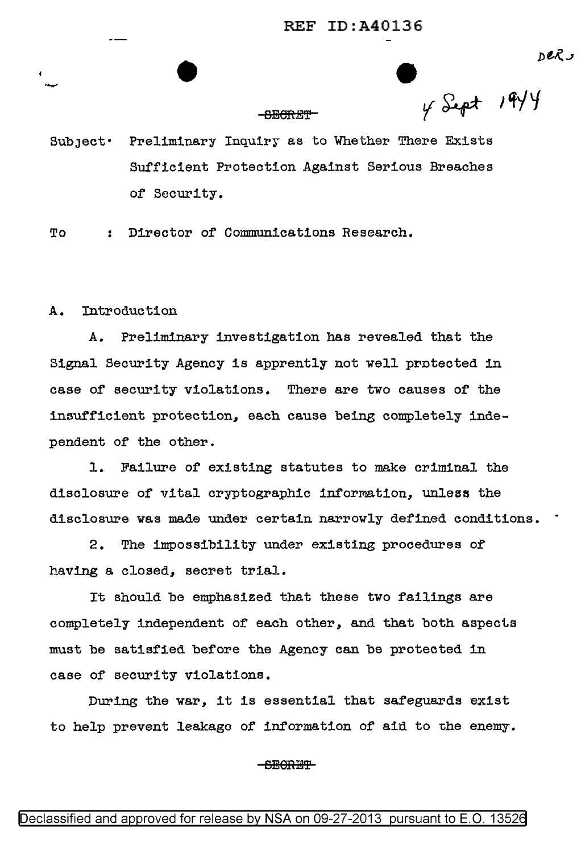$\int_{\gamma}^{DPRJ}$  $\overline{\phantom{a}}$ 

# $\frac{1944}{194}$  v Sept 1944

SubJect· Preliminary Inquiry as to Whether There Exists Sufficient Protection Against Serious Breaches of Security.

To Director of Communications Research.

A. Introduction

A. Preliminary investigation has revealed that the Signal Security Agency is apprently not well protected in case or security violations. There are two causes of the insUfficient protection, each cause being completely independent of the other.

1. Failure of existing statutes to make criminal the disclosure of vital cryptographic information, unless the disclosure was made under certain narrowly defined conditions.

2. The impossibility under existing procedures of having a closed, secret trial.

It should be emphasized that these two failings are completely independent of each other, and that both aspects must be satisfied before the Agency can be protected in case of security violations.

During the war, it is essential that safeguards exist to help prevent leakage of information of aid to the enemy.

# <del>SECRET</del>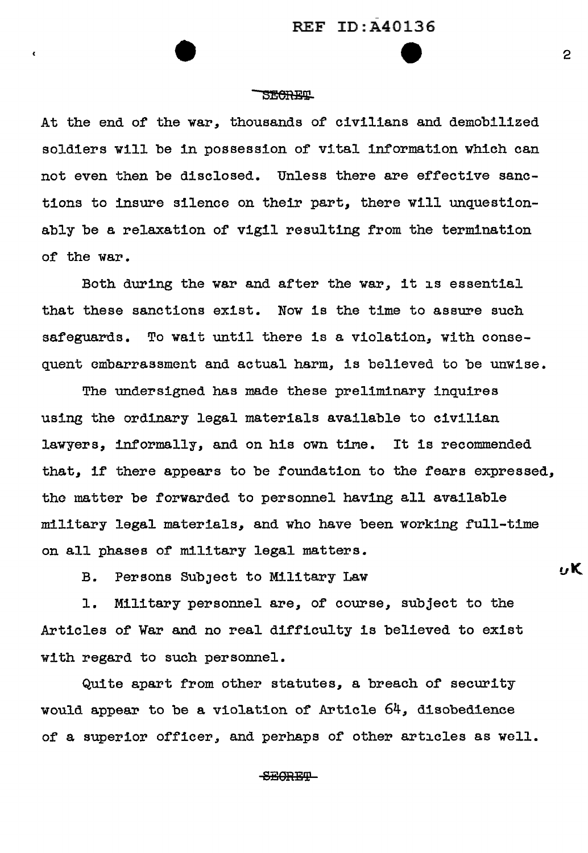# **SECRET**

 $\epsilon$ 

At the end of the war, thousands of civilians and demobilized soldiers will be in possession of vital information which can not even then be disclosed. Unless there are effective sanetions to insure silence on their part, there will unquestionably be a relaxation of vigil resulting from the termination of the war.

Both during the war and after the war, it is essential that these sanctions exist. Now is the time to assure such safeguards. To wait until there is a violation, with consequent embarrassment and actual harm, is believed to be unwise.

The undersigned has made these preliminary inquires using the ordinary legal materials available to civilian lawyers, informally, and on his own time. It is recommended that, if there appears to be foundation to the fears expressed, the matter be forwarded to personnel having all available military legal materials, and who have been working full-time on all phases of military legal matters.

B. Persons SubJect to Military Law

1. Military personnel are, of course, subject to the Articles of War and no real difficulty is believed to exist with regard to such personnel.

Quite apart from other statutes, a breach of security would appear to be a violation of Article 64, disobedience of a superior officer, and perhaps of other articles as well.

## SECRET

 $\mathcal{P}$ 

 $\alpha$ K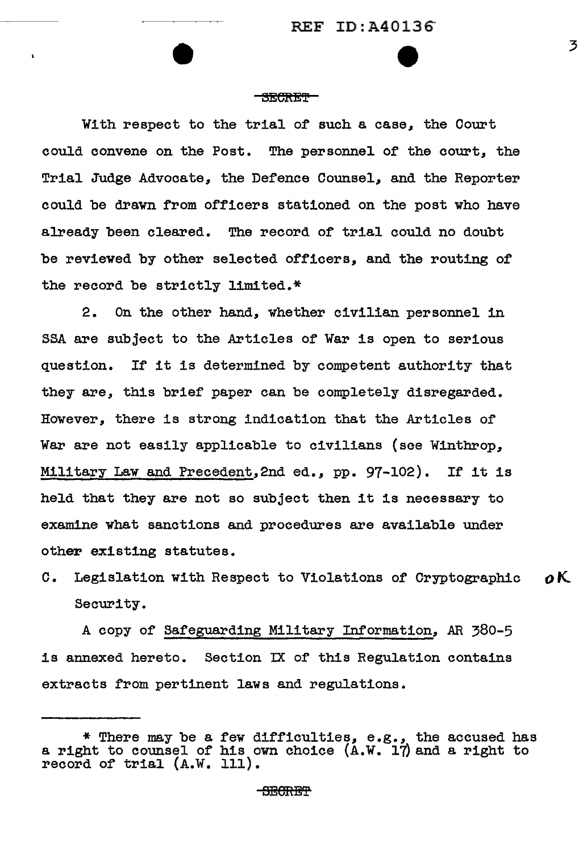#### **SECRET**

With respect to the trial of such a case, the Court could convene on the Post. The personnel of the court, the Trial Judge Advocate, the Defence Counsel, and the Reporter could be drawn from officers stationed on the post who have already been cleared. The record of trial could no doubt be reviewed by other selected officers, and the routing of the record be strictly limited.\*

2. On the other hand, whether civilian personnel in SSA are subject to the Articles of War is open to serious question. If it is determined by competent authority that they are, this brief paper can be completely disregarded. However, there is strong indication that the Articles of War are not easily applicable to civilians (see Winthrop, Military Law and Precedent,2nd ed., pp.  $97-102$ ). If it is held that they are not so subject then it is necessary to examine what sanctions and procedures are available under other existing statutes.

C. Legislation with Respect to Violations of Cryptographic  $\boldsymbol{\rho}$ K. Security.

A copy of Safeguarding Military Information, *AR* 380-5 is annexed hereto. Section IX of this Regulation contains extracts from pertinent laws and regulations.

<sup>\*</sup> There may be a few difficulties, e.g., the accused has a right to counsel of his own choice (A.W. 17) and a right to a right to commer of his owner.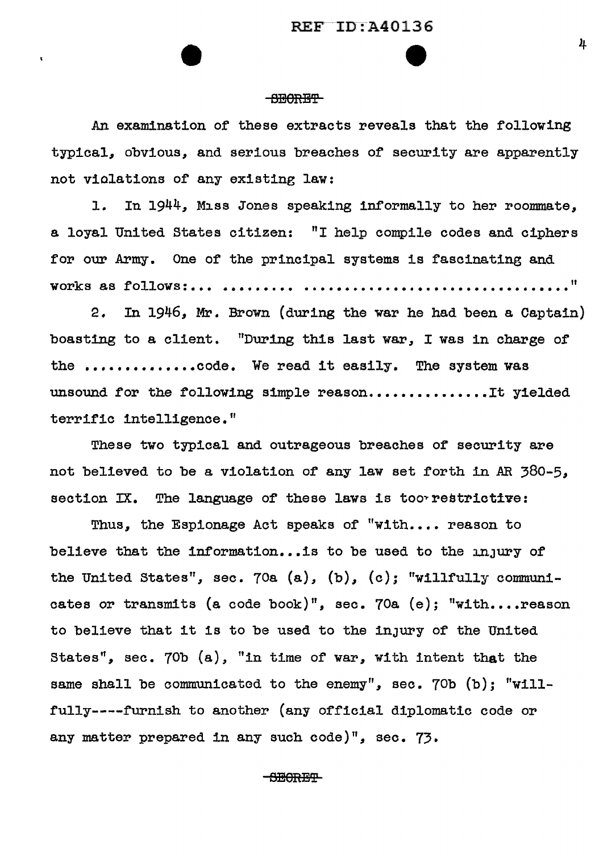**e** 

## **BECORBY**

An examination of these extracts reveals that the following typical, obvious, and serious breaches of security are apparently not violations or any existing law:

1. In 1944, Miss Jones speaking informally to her roommate. a loyal United States citizen: "I help compile codes and ciphers for our Army. One of the principal systems is fascinating and **works as follows:... .......... .......** 

2. In 1946, Mr. Brown (during the war he had been a Captain) boasting to a client. "During this last war, I was in charge of the ...............code. We read it easily. The system was unsound for the following simple reason................It yielded terrific intelligence."

These two typical and outrageous breaches of security are not believed to be a violation of any law set forth in AR 380-5, section IX. The language of these laws is too restrictive:

Thus, the Espionage Act speaks of "with.... reason to believe that the information... is to be used to the  $\ln_1$ ury of the United States", sec. 70a (a), (b), (c); "willfully communicates or transmits (a code book)", sec. 70a (e); "with....reason to believe that it is to be used to the inJury of the United States", sec. 70b (a), "in time of war, with intent that the same shall be communicated to the enemy", sec. 70b (b); "willfully----furnish to another (any official diplomatic code or any matter prepared in any such code)", sec. 73.

**SECRET**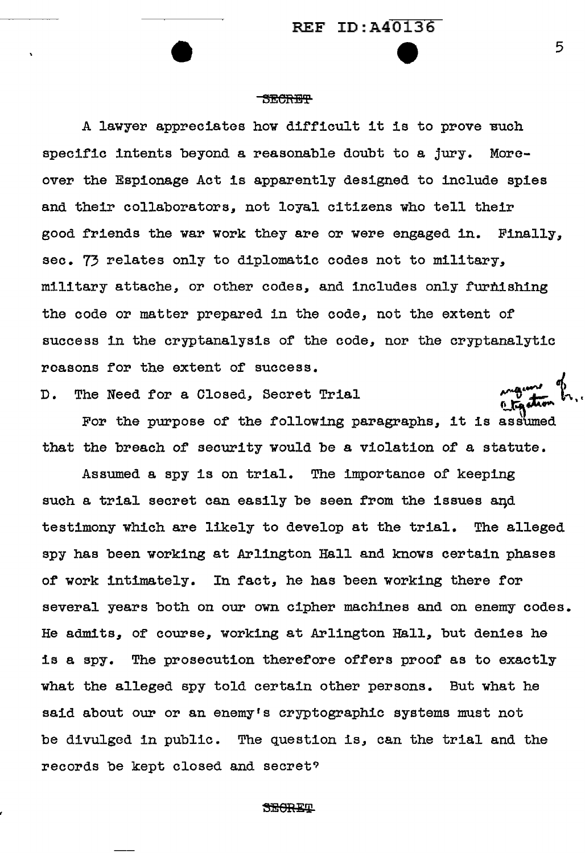#### -SECRET

A lawyer appreciates how difficult it is to prove Buch specific intents beyond a reasonable doubt to a jury. Moreover the Espionage Act is apparently designed to include spies and their collaborators, not loyal citizens who tell their good friends the war work they are or were engaged in. Finally, sec. 73 relates only to diplomatic codes not to military, military attache, or other codes, and includes only furnishing the code or matter prepared in the code, not the extent of success in the cryptanalysis of the code, nor the cryptanalytic reasons for the extent of success. manne of

D. The Need for a Closed, Secret Trial

ne need for a Closed, Secret Trial  $\sum_{k=1}^{\infty}$   $\sum_{k=1}^{\infty}$  in  $\sum_{k=1}^{\infty}$ that the breach of security would be a violation of a statute.

Assumed a spy is on trial. The importance of keeping such a trial secret can easily be seen from the issues and testimony which are likely to develop at the trial. The alleged spy has been working at Arlington Hall and knows certain phases of work intimately. In fact, he has been working there for several years both on our own cipher machines and on enemy codes. He admits, of course, working at Arlington Hall, but denies he is a spy. The prosecution therefore offers proof as to exactly what the alleged spy told certain other persons. But what he said about our or an enemy's cryptographic systems must not be divulged in public. The question is, can the trial and the records be kept closed and secret?

**SECRET**